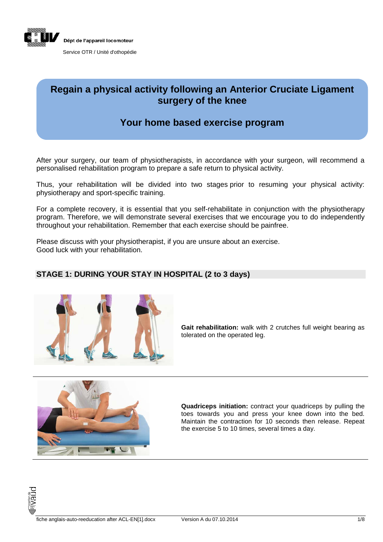

## **Regain a physical activity following an Anterior Cruciate Ligament surgery of the knee**

# **Your home based exercise program**

After your surgery, our team of physiotherapists, in accordance with your surgeon, will recommend a personalised rehabilitation program to prepare a safe return to physical activity.

Thus, your rehabilitation will be divided into two stages prior to resuming your physical activity: physiotherapy and sport-specific training.

For a complete recovery, it is essential that you self-rehabilitate in conjunction with the physiotherapy program. Therefore, we will demonstrate several exercises that we encourage you to do independently throughout your rehabilitation. Remember that each exercise should be painfree.

Please discuss with your physiotherapist, if you are unsure about an exercise. Good luck with your rehabilitation.

#### **STAGE 1: DURING YOUR STAY IN HOSPITAL (2 to 3 days)**



**Gait rehabilitation:** walk with 2 crutches full weight bearing as tolerated on the operated leg.



**Quadriceps initiation:** contract your quadriceps by pulling the toes towards you and press your knee down into the bed. Maintain the contraction for 10 seconds then release. Repeat the exercise 5 to 10 times, several times a day.

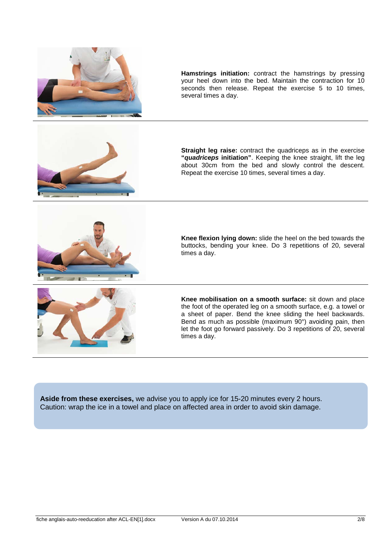

**Hamstrings initiation:** contract the hamstrings by pressing your heel down into the bed. Maintain the contraction for 10 seconds then release. Repeat the exercise 5 to 10 times, several times a day.



**Straight leg raise:** contract the quadriceps as in the exercise **"***quadriceps* **initiation"**. Keeping the knee straight, lift the leg about 30cm from the bed and slowly control the descent. Repeat the exercise 10 times, several times a day.



**Knee flexion lying down:** slide the heel on the bed towards the buttocks, bending your knee. Do 3 repetitions of 20, several times a day.



**Knee mobilisation on a smooth surface:** sit down and place the foot of the operated leg on a smooth surface, e.g. a towel or a sheet of paper. Bend the knee sliding the heel backwards. Bend as much as possible (maximum  $90^{\circ}$ ) avoiding pain, then let the foot go forward passively. Do 3 repetitions of 20, several times a day.

**Aside from these exercises,** we advise you to apply ice for 15-20 minutes every 2 hours. Caution: wrap the ice in a towel and place on affected area in order to avoid skin damage.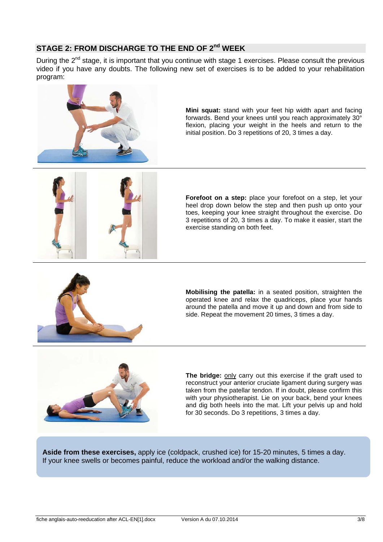## **STAGE 2: FROM DISCHARGE TO THE END OF 2nd WEEK**

During the 2<sup>nd</sup> stage, it is important that you continue with stage 1 exercises. Please consult the previous video if you have any doubts. The following new set of exercises is to be added to your rehabilitation program:



**Mini squat:** stand with your feet hip width apart and facing forwards. Bend your knees until you reach approximately 30° flexion, placing your weight in the heels and return to the initial position. Do 3 repetitions of 20, 3 times a day.



**Forefoot on a step:** place your forefoot on a step, let your heel drop down below the step and then push up onto your toes, keeping your knee straight throughout the exercise. Do 3 repetitions of 20, 3 times a day. To make it easier, start the exercise standing on both feet.



**Mobilising the patella:** in a seated position, straighten the operated knee and relax the quadriceps, place your hands around the patella and move it up and down and from side to side. Repeat the movement 20 times, 3 times a day.



**The bridge:** only carry out this exercise if the graft used to reconstruct your anterior cruciate ligament during surgery was taken from the patellar tendon. If in doubt, please confirm this with your physiotherapist. Lie on your back, bend your knees and dig both heels into the mat. Lift your pelvis up and hold for 30 seconds. Do 3 repetitions, 3 times a day.

**Aside from these exercises,** apply ice (coldpack, crushed ice) for 15-20 minutes, 5 times a day. If your knee swells or becomes painful, reduce the workload and/or the walking distance.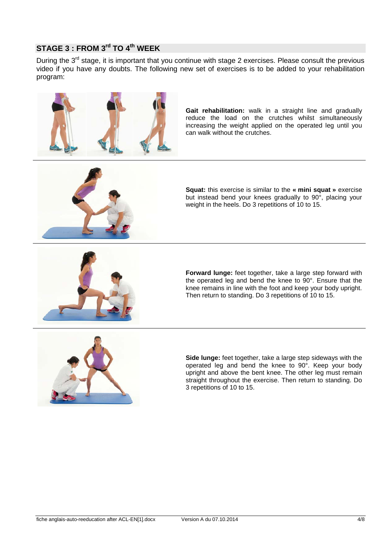# **STAGE 3 : FROM 3rd TO 4th WEEK**

During the 3<sup>rd</sup> stage, it is important that you continue with stage 2 exercises. Please consult the previous video if you have any doubts. The following new set of exercises is to be added to your rehabilitation program:



**Gait rehabilitation:** walk in a straight line and gradually reduce the load on the crutches whilst simultaneously increasing the weight applied on the operated leg until you can walk without the crutches.



**Squat:** this exercise is similar to the **« mini squat »** exercise but instead bend your knees gradually to 90°, placing your weight in the heels. Do 3 repetitions of 10 to 15.



**Forward lunge:** feet together, take a large step forward with the operated leg and bend the knee to 90°. Ensure that the knee remains in line with the foot and keep your body upright. Then return to standing. Do 3 repetitions of 10 to 15.



**Side lunge:** feet together, take a large step sideways with the operated leg and bend the knee to 90°. Keep your body upright and above the bent knee. The other leg must remain straight throughout the exercise. Then return to standing. Do 3 repetitions of 10 to 15.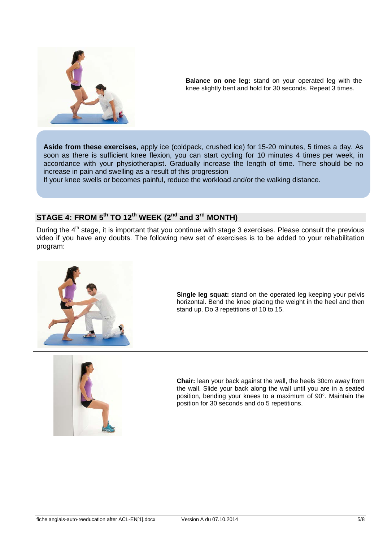

**Balance on one leg:** stand on your operated leg with the knee slightly bent and hold for 30 seconds. Repeat 3 times.

**Aside from these exercises,** apply ice (coldpack, crushed ice) for 15-20 minutes, 5 times a day. As soon as there is sufficient knee flexion, you can start cycling for 10 minutes 4 times per week, in accordance with your physiotherapist. Gradually increase the length of time. There should be no increase in pain and swelling as a result of this progression

If your knee swells or becomes painful, reduce the workload and/or the walking distance.

## **STAGE 4: FROM 5th TO 12th WEEK (2nd and 3rd MONTH)**

During the 4<sup>th</sup> stage, it is important that you continue with stage 3 exercises. Please consult the previous video if you have any doubts. The following new set of exercises is to be added to your rehabilitation program:



**Single leg squat:** stand on the operated leg keeping your pelvis horizontal. Bend the knee placing the weight in the heel and then stand up. Do 3 repetitions of 10 to 15.



**Chair:** lean your back against the wall, the heels 30cm away from the wall. Slide your back along the wall until you are in a seated position, bending your knees to a maximum of 90°. Maintain the position for 30 seconds and do 5 repetitions.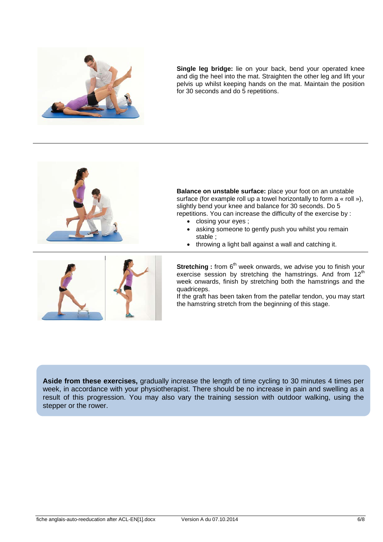

**Single leg bridge:** lie on your back, bend your operated knee and dig the heel into the mat. Straighten the other leg and lift your pelvis up whilst keeping hands on the mat. Maintain the position for 30 seconds and do 5 repetitions.



**Balance on unstable surface:** place your foot on an unstable surface (for example roll up a towel horizontally to form a « roll »), slightly bend your knee and balance for 30 seconds. Do 5 repetitions. You can increase the difficulty of the exercise by :

- closing your eyes ;
- asking someone to gently push you whilst you remain stable ;
- throwing a light ball against a wall and catching it.



**Stretching** : from 6<sup>th</sup> week onwards, we advise you to finish your exercise session by stretching the hamstrings. And from 12<sup>th</sup> week onwards, finish by stretching both the hamstrings and the quadriceps.

If the graft has been taken from the patellar tendon, you may start the hamstring stretch from the beginning of this stage.

**Aside from these exercises,** gradually increase the length of time cycling to 30 minutes 4 times per week, in accordance with your physiotherapist. There should be no increase in pain and swelling as a result of this progression. You may also vary the training session with outdoor walking, using the stepper or the rower.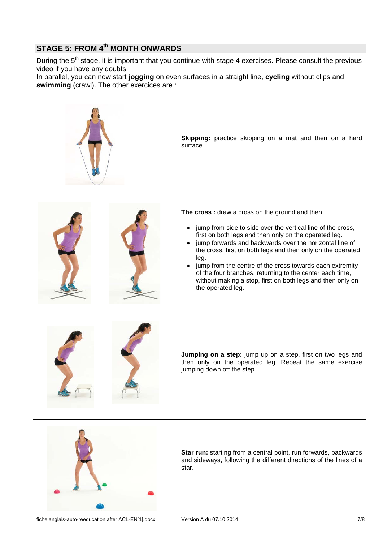## **STAGE 5: FROM 4th MONTH ONWARDS**

During the 5<sup>th</sup> stage, it is important that you continue with stage 4 exercises. Please consult the previous video if you have any doubts.

In parallel, you can now start **jogging** on even surfaces in a straight line, **cycling** without clips and **swimming** (crawl). The other exercices are :



**Skipping:** practice skipping on a mat and then on a hard surface.



**The cross :** draw a cross on the ground and then

- jump from side to side over the vertical line of the cross. first on both legs and then only on the operated leg.
- jump forwards and backwards over the horizontal line of the cross, first on both legs and then only on the operated leg.
- jump from the centre of the cross towards each extremity of the four branches, returning to the center each time, without making a stop, first on both legs and then only on the operated leg.



**Jumping on a step:** jump up on a step, first on two legs and then only on the operated leg. Repeat the same exercise jumping down off the step.



**Star run:** starting from a central point, run forwards, backwards and sideways, following the different directions of the lines of a star.